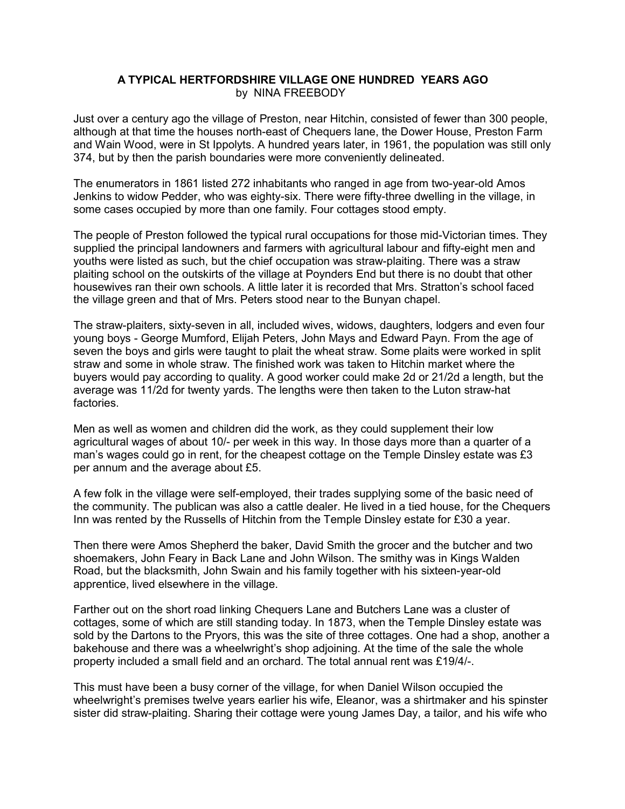## A TYPICAL HERTFORDSHIRE VILLAGE ONE HUNDRED YEARS AGO by NINA FREEBODY

Just over a century ago the village of Preston, near Hitchin, consisted of fewer than 300 people, although at that time the houses north-east of Chequers lane, the Dower House, Preston Farm and Wain Wood, were in St Ippolyts. A hundred years later, in 1961, the population was still only 374, but by then the parish boundaries were more conveniently delineated.

The enumerators in 1861 listed 272 inhabitants who ranged in age from two-year-old Amos Jenkins to widow Pedder, who was eighty-six. There were fifty-three dwelling in the village, in some cases occupied by more than one family. Four cottages stood empty.

The people of Preston followed the typical rural occupations for those mid-Victorian times. They supplied the principal landowners and farmers with agricultural labour and fifty-eight men and youths were listed as such, but the chief occupation was straw-plaiting. There was a straw plaiting school on the outskirts of the village at Poynders End but there is no doubt that other housewives ran their own schools. A little later it is recorded that Mrs. Stratton's school faced the village green and that of Mrs. Peters stood near to the Bunyan chapel.

The straw-plaiters, sixty-seven in all, included wives, widows, daughters, lodgers and even four young boys - George Mumford, Elijah Peters, John Mays and Edward Payn. From the age of seven the boys and girls were taught to plait the wheat straw. Some plaits were worked in split straw and some in whole straw. The finished work was taken to Hitchin market where the buyers would pay according to quality. A good worker could make 2d or 21/2d a length, but the average was 11/2d for twenty yards. The lengths were then taken to the Luton straw-hat factories.

Men as well as women and children did the work, as they could supplement their low agricultural wages of about 10/- per week in this way. In those days more than a quarter of a man's wages could go in rent, for the cheapest cottage on the Temple Dinsley estate was £3 per annum and the average about £5.

A few folk in the village were self-employed, their trades supplying some of the basic need of the community. The publican was also a cattle dealer. He lived in a tied house, for the Chequers Inn was rented by the Russells of Hitchin from the Temple Dinsley estate for £30 a year.

Then there were Amos Shepherd the baker, David Smith the grocer and the butcher and two shoemakers, John Feary in Back Lane and John Wilson. The smithy was in Kings Walden Road, but the blacksmith, John Swain and his family together with his sixteen-year-old apprentice, lived elsewhere in the village.

Farther out on the short road linking Chequers Lane and Butchers Lane was a cluster of cottages, some of which are still standing today. In 1873, when the Temple Dinsley estate was sold by the Dartons to the Pryors, this was the site of three cottages. One had a shop, another a bakehouse and there was a wheelwright's shop adjoining. At the time of the sale the whole property included a small field and an orchard. The total annual rent was £19/4/-.

This must have been a busy corner of the village, for when Daniel Wilson occupied the wheelwright's premises twelve years earlier his wife, Eleanor, was a shirtmaker and his spinster sister did straw-plaiting. Sharing their cottage were young James Day, a tailor, and his wife who